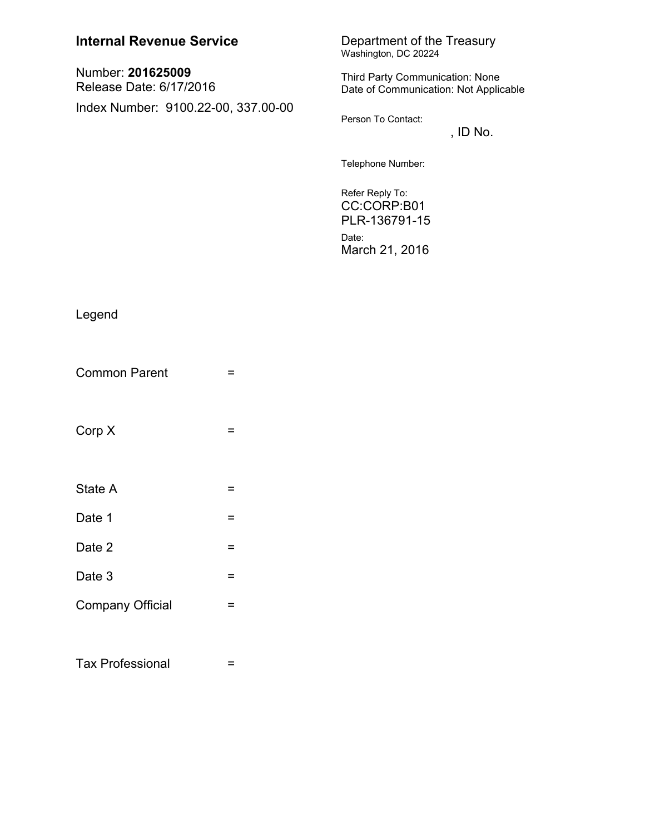## **Internal Revenue Service**

Number: 201625009 Release Date: 6/17/2016 Index Number: 9100.22-00, 337.00-00 Department of the Treasury<br>Washington, DC 20224

Third Party Communication: None Date of Communication: Not Applicable

Person To Contact:

, ID No.

Telephone Number:

Refer Reply To: CC:CORP:B01 PLR-136791-15 Date: March 21, 2016

## Legend

| <b>Common Parent</b>    |   |
|-------------------------|---|
| Corp X                  |   |
| State A                 |   |
| Date 1                  | = |
| Date 2                  | = |
| Date 3                  | = |
| <b>Company Official</b> |   |
|                         |   |

**Tax Professional**  $\equiv$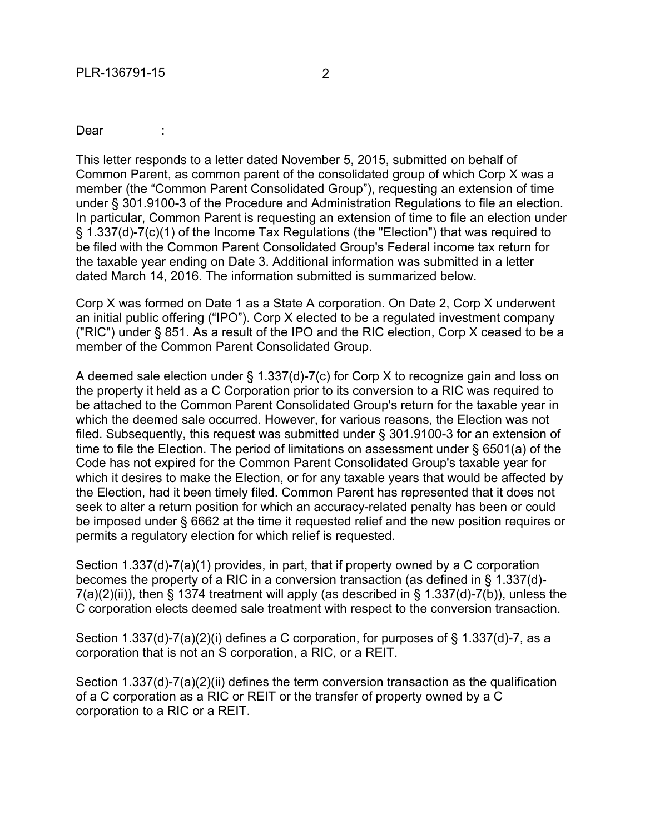## Dear :

This letter responds to a letter dated November 5, 2015, submitted on behalf of Common Parent, as common parent of the consolidated group of which Corp X was a member (the "Common Parent Consolidated Group"), requesting an extension of time under § 301.9100-3 of the Procedure and Administration Regulations to file an election. In particular, Common Parent is requesting an extension of time to file an election under § 1.337(d)-7(c)(1) of the Income Tax Regulations (the "Election") that was required to be filed with the Common Parent Consolidated Group's Federal income tax return for the taxable year ending on Date 3. Additional information was submitted in a letter dated March 14, 2016. The information submitted is summarized below.

Corp X was formed on Date 1 as a State A corporation. On Date 2, Corp X underwent an initial public offering ("IPO"). Corp X elected to be a regulated investment company ("RIC") under § 851. As a result of the IPO and the RIC election, Corp X ceased to be a member of the Common Parent Consolidated Group.

A deemed sale election under § 1.337(d)-7(c) for Corp X to recognize gain and loss on the property it held as a C Corporation prior to its conversion to a RIC was required to be attached to the Common Parent Consolidated Group's return for the taxable year in which the deemed sale occurred. However, for various reasons, the Election was not filed. Subsequently, this request was submitted under § 301.9100-3 for an extension of time to file the Election. The period of limitations on assessment under § 6501(a) of the Code has not expired for the Common Parent Consolidated Group's taxable year for which it desires to make the Election, or for any taxable years that would be affected by the Election, had it been timely filed. Common Parent has represented that it does not seek to alter a return position for which an accuracy-related penalty has been or could be imposed under § 6662 at the time it requested relief and the new position requires or permits a regulatory election for which relief is requested.

Section 1.337(d)-7(a)(1) provides, in part, that if property owned by a C corporation becomes the property of a RIC in a conversion transaction (as defined in § 1.337(d)-  $7(a)(2)(ii)$ , then § 1374 treatment will apply (as described in § 1.337(d)-7(b)), unless the C corporation elects deemed sale treatment with respect to the conversion transaction.

Section 1.337(d)-7(a)(2)(i) defines a C corporation, for purposes of § 1.337(d)-7, as a corporation that is not an S corporation, a RIC, or a REIT.

Section 1.337(d)-7(a)(2)(ii) defines the term conversion transaction as the qualification of a C corporation as a RIC or REIT or the transfer of property owned by a C corporation to a RIC or a REIT.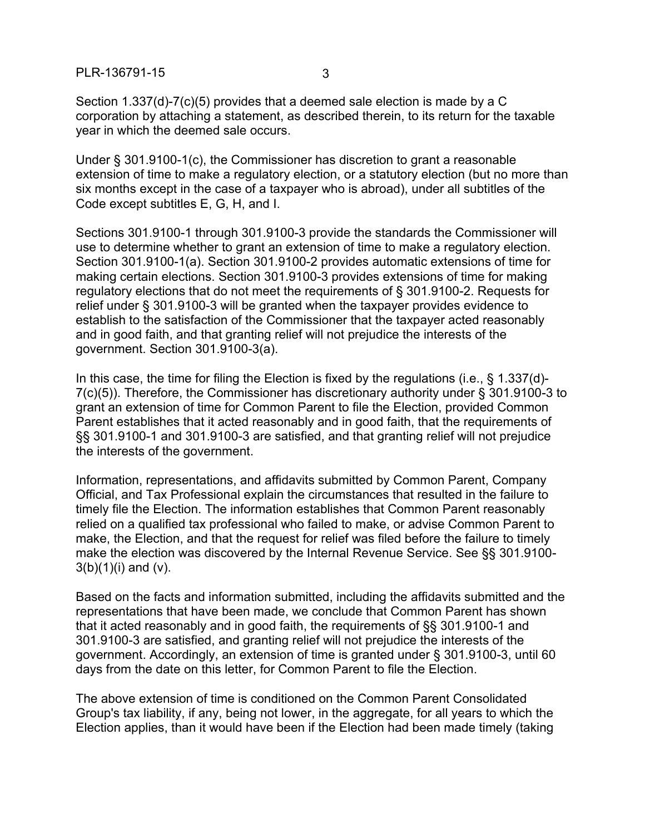PLR-136791-15 3

Section 1.337(d)-7(c)(5) provides that a deemed sale election is made by a C corporation by attaching a statement, as described therein, to its return for the taxable year in which the deemed sale occurs.

Under § 301.9100-1(c), the Commissioner has discretion to grant a reasonable extension of time to make a regulatory election, or a statutory election (but no more than six months except in the case of a taxpayer who is abroad), under all subtitles of the Code except subtitles E, G, H, and I.

Sections 301.9100-1 through 301.9100-3 provide the standards the Commissioner will use to determine whether to grant an extension of time to make a regulatory election. Section 301.9100-1(a). Section 301.9100-2 provides automatic extensions of time for making certain elections. Section 301.9100-3 provides extensions of time for making regulatory elections that do not meet the requirements of § 301.9100-2. Requests for relief under § 301.9100-3 will be granted when the taxpayer provides evidence to establish to the satisfaction of the Commissioner that the taxpayer acted reasonably and in good faith, and that granting relief will not prejudice the interests of the government. Section 301.9100-3(a).

In this case, the time for filing the Election is fixed by the regulations (i.e., § 1.337(d)- 7(c)(5)). Therefore, the Commissioner has discretionary authority under § 301.9100-3 to grant an extension of time for Common Parent to file the Election, provided Common Parent establishes that it acted reasonably and in good faith, that the requirements of §§ 301.9100-1 and 301.9100-3 are satisfied, and that granting relief will not prejudice the interests of the government.

Information, representations, and affidavits submitted by Common Parent, Company Official, and Tax Professional explain the circumstances that resulted in the failure to timely file the Election. The information establishes that Common Parent reasonably relied on a qualified tax professional who failed to make, or advise Common Parent to make, the Election, and that the request for relief was filed before the failure to timely make the election was discovered by the Internal Revenue Service. See §§ 301.9100-  $3(b)(1)(i)$  and  $(v)$ .

Based on the facts and information submitted, including the affidavits submitted and the representations that have been made, we conclude that Common Parent has shown that it acted reasonably and in good faith, the requirements of §§ 301.9100-1 and 301.9100-3 are satisfied, and granting relief will not prejudice the interests of the government. Accordingly, an extension of time is granted under § 301.9100-3, until 60 days from the date on this letter, for Common Parent to file the Election.

The above extension of time is conditioned on the Common Parent Consolidated Group's tax liability, if any, being not lower, in the aggregate, for all years to which the Election applies, than it would have been if the Election had been made timely (taking